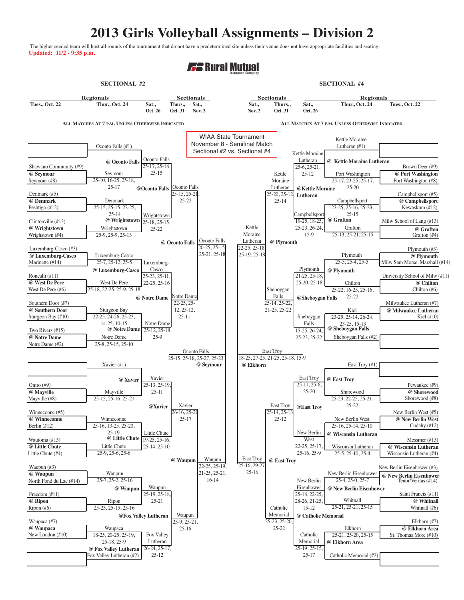## **2013 Girls Volleyball Assignments – Division 2**

The higher seeded team will host all rounds of the tournament that do not have a predetermined site unless their venue does not have appropriate facilities and seating. **Updated: 11/2 - 9:35 p.m.**

## **F.** Rural Mutual